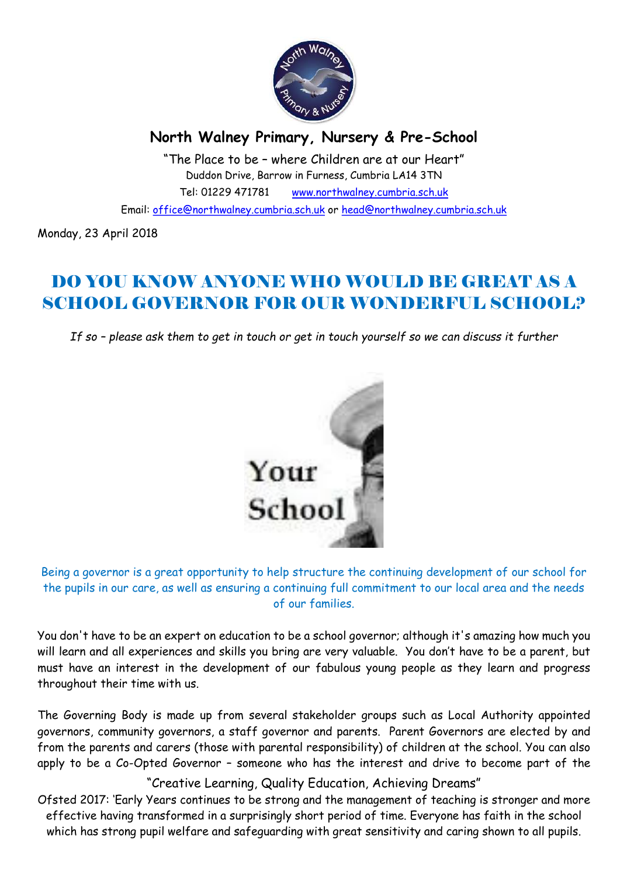

## North Walney Primary, Nursery & Pre-School

"The Place to be – where Children are at our Heart" Duddon Drive, Barrow in Furness, Cumbria LA14 3TN Tel: 01229 471781 www.northwalney.cumbria.sch.uk

Email: office@northwalney.cumbria.sch.uk or head@northwalney.cumbria.sch.uk

Monday, 23 April 2018

# DO YOU KNOW ANYONE WHO WOULD BE GREAT AS A SCHOOL GOVERNOR FOR OUR WONDERFUL SCHOOL?

If so – please ask them to get in touch or get in touch yourself so we can discuss it further



Being a governor is a great opportunity to help structure the continuing development of our school for the pupils in our care, as well as ensuring a continuing full commitment to our local area and the needs of our families.

You don't have to be an expert on education to be a school governor; although it's amazing how much you will learn and all experiences and skills you bring are very valuable. You don't have to be a parent, but must have an interest in the development of our fabulous young people as they learn and progress throughout their time with us.

The Governing Body is made up from several stakeholder groups such as Local Authority appointed governors, community governors, a staff governor and parents. Parent Governors are elected by and from the parents and carers (those with parental responsibility) of children at the school. You can also apply to be a Co-Opted Governor – someone who has the interest and drive to become part of the

"Creative Learning, Quality Education, Achieving Dreams"

Ofsted 2017: 'Early Years continues to be strong and the management of teaching is stronger and more effective having transformed in a surprisingly short period of time. Everyone has faith in the school which has strong pupil welfare and safeguarding with great sensitivity and caring shown to all pupils.